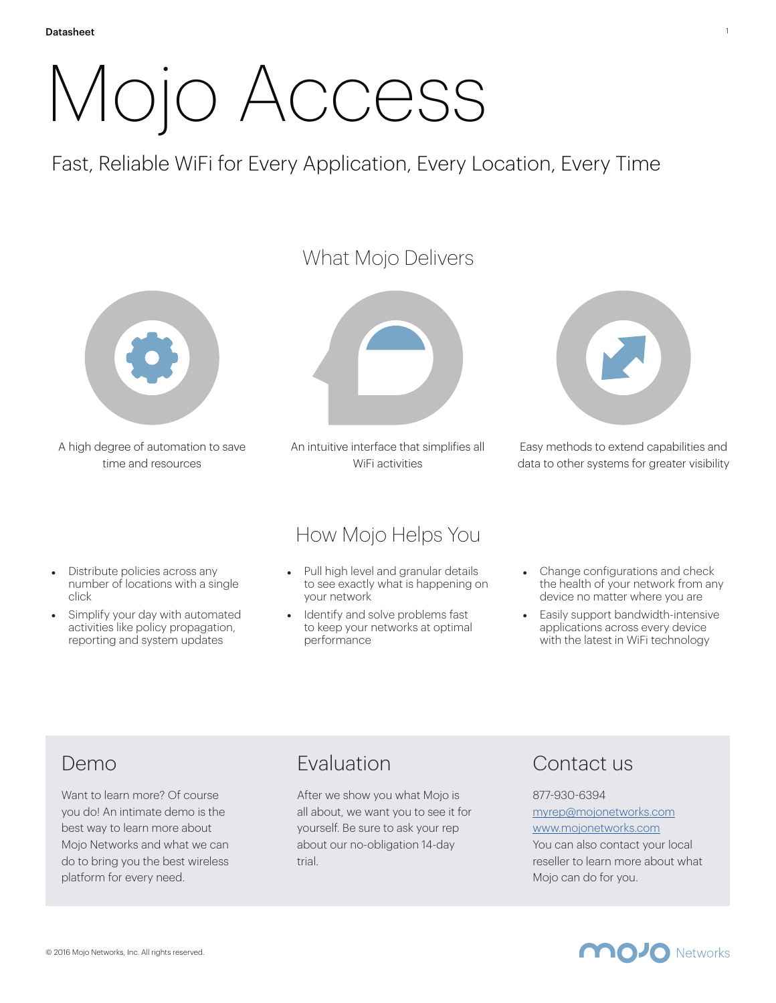# Mojo Access

Fast, Reliable WiFi for Every Application, Every Location, Every Time



A high degree of automation to save time and resources

#### What Mojo Delivers



An intuitive interface that simplifies all WiFi activities



Easy methods to extend capabilities and data to other systems for greater visibility

- Distribute policies across any number of locations with a single click
- Simplify your day with automated activities like policy propagation, reporting and system updates

#### How Mojo Helps You

- Pull high level and granular details to see exactly what is happening on your network
- Identify and solve problems fast to keep your networks at optimal performance
- Change configurations and check the health of your network from any device no matter where you are
- Easily support bandwidth-intensive applications across every device with the latest in WiFi technology

# Demo

Want to learn more? Of course you do! An intimate demo is the best way to learn more about Mojo Networks and what we can do to bring you the best wireless platform for every need.

# Evaluation

After we show you what Mojo is all about, we want you to see it for yourself. Be sure to ask your rep about our no-obligation 14-day trial.

# Contact us

#### 877-930-6394 [myrep@mojonetworks.com](mailto:myrep@mojonetworks.com) [www.mojonetworks.com](http://www.mojonetworks.com) You can also contact your local

reseller to learn more about what Mojo can do for you.